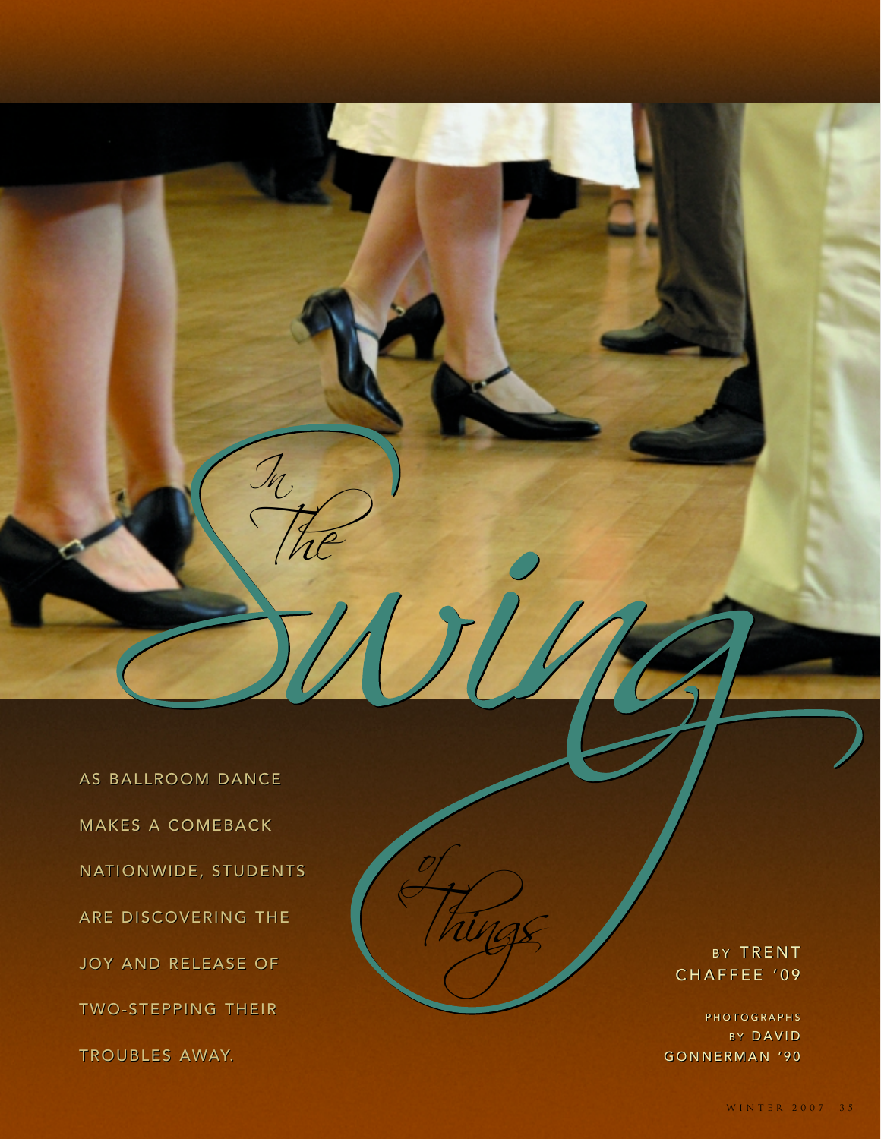AS BALLROOM DANCE AS DANCE MAKES A COMEBACK A NATIONWIDE, STUDENTS ARE DISCOVERING THE JOY AND RELEASE OF TWO-STEPPING THEIR TROUBLES AWAY. TROUBLES ONWIDE, STUDENTS<br>DISCOVERING THE<br>AND RELEASE OF<br>-STEPPING THEIR

In

The

Things

of

BY TRENT CHAFFEE '09 BY TRENT<br>CHAFFEE '09<br>Photographs

PHOTOGRAPHS B Y DAVID B DAVID GONNERMAN '90 GONNERMAN '90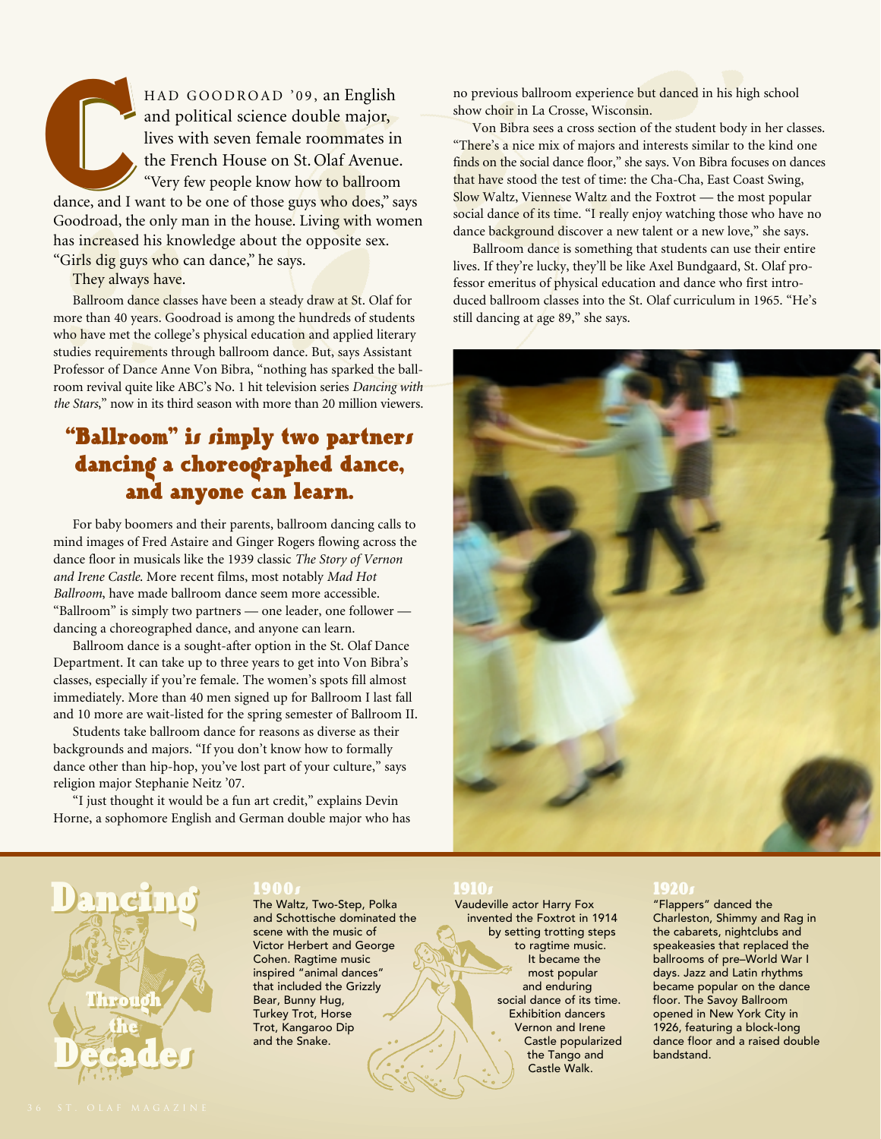HAD GOODROAD '09, an English and political science double major, lives with seven female roommates in the French House on St. Olaf Avenue. "Very few people know how to ballroom dance, and I want to be one of those guys who does," says Goodroad, the only man in the house. Living with women has increased his knowledge about the opposite sex. "Girls dig guys who can dance," he says. dance, and I

They always have.

Ballroom dance classes have been a steady draw at St. Olaf for more than 40 years. Goodroad is among the hundreds of students who have met the college's physical education and applied literary studies requirements through ballroom dance. But, says Assistant Professor of Dance Anne Von Bibra, "nothing has sparked the ballroom revival quite like ABC's No. 1 hit television series *Dancing with the Stars*," now in its third season with more than 20 million viewers.

# "Ballroom" is simply two partners dancing a choreographed dance, and anyone can learn.

For baby boomers and their parents, ballroom dancing calls to mind images of Fred Astaire and Ginger Rogers flowing across the dance floor in musicals like the 1939 classic *The Story of Vernon and Irene Castle*. More recent films, most notably *Mad Hot Ballroom*, have made ballroom dance seem more accessible. "Ballroom" is simply two partners — one leader, one follower dancing a choreographed dance, and anyone can learn.

Ballroom dance is a sought-after option in the St. Olaf Dance Department. It can take up to three years to get into Von Bibra's classes, especially if you're female. The women's spots fill almost immediately. More than 40 men signed up for Ballroom I last fall and 10 more are wait-listed for the spring semester of Ballroom II.

Students take ballroom dance for reasons as diverse as their backgrounds and majors. "If you don't know how to formally dance other than hip-hop, you've lost part of your culture," says religion major Stephanie Neitz '07.

"I just thought it would be a fun art credit," explains Devin Horne, a sophomore English and German double major who has no previous ballroom experience but danced in his high school show choir in La Crosse, Wisconsin.

Von Bibra sees a cross section of the student body in her classes. "There's a nice mix of majors and interests similar to the kind one finds on the social dance floor," she says. Von Bibra focuses on dances that have stood the test of time: the Cha-Cha, East Coast Swing, Slow Waltz, Viennese Waltz and the Foxtrot — the most popular social dance of its time. "I really enjoy watching those who have no dance background discover a new talent or a new love," she says.

Ballroom dance is something that students can use their entire lives. If they're lucky, they'll be like Axel Bundgaard, St. Olaf professor emeritus of physical education and dance who first introduced ballroom classes into the St. Olaf curriculum in 1965. "He's still dancing at age 89," she says.





1900s The Waltz, Two-Step, Polka and Schottische dominated the scene with the music of Victor Herbert and George Cohen. Ragtime music inspired "animal dances" that included the Grizzly Bear, Bunny Hug, Turkey Trot, Horse Trot, Kangaroo Dip and the Snake.

1910s Vaudeville actor Harry Fox invented the Foxtrot in 1914 by setting trotting steps to ragtime music. It became the most popular and enduring social dance of its time. Exhibition dancers Vernon and Irene Castle popularized the Tango and Castle Walk.

1920<br>"Flappers" danced the Charleston, Shimmy and Rag in the cabarets, nightclubs and speakeasies that replaced the ballrooms of pre–World War I days. Jazz and Latin rhythms became popular on the dance floor. The Savoy Ballroom opened in New York City in 1926, featuring a block-long dance floor and a raised double bandstand.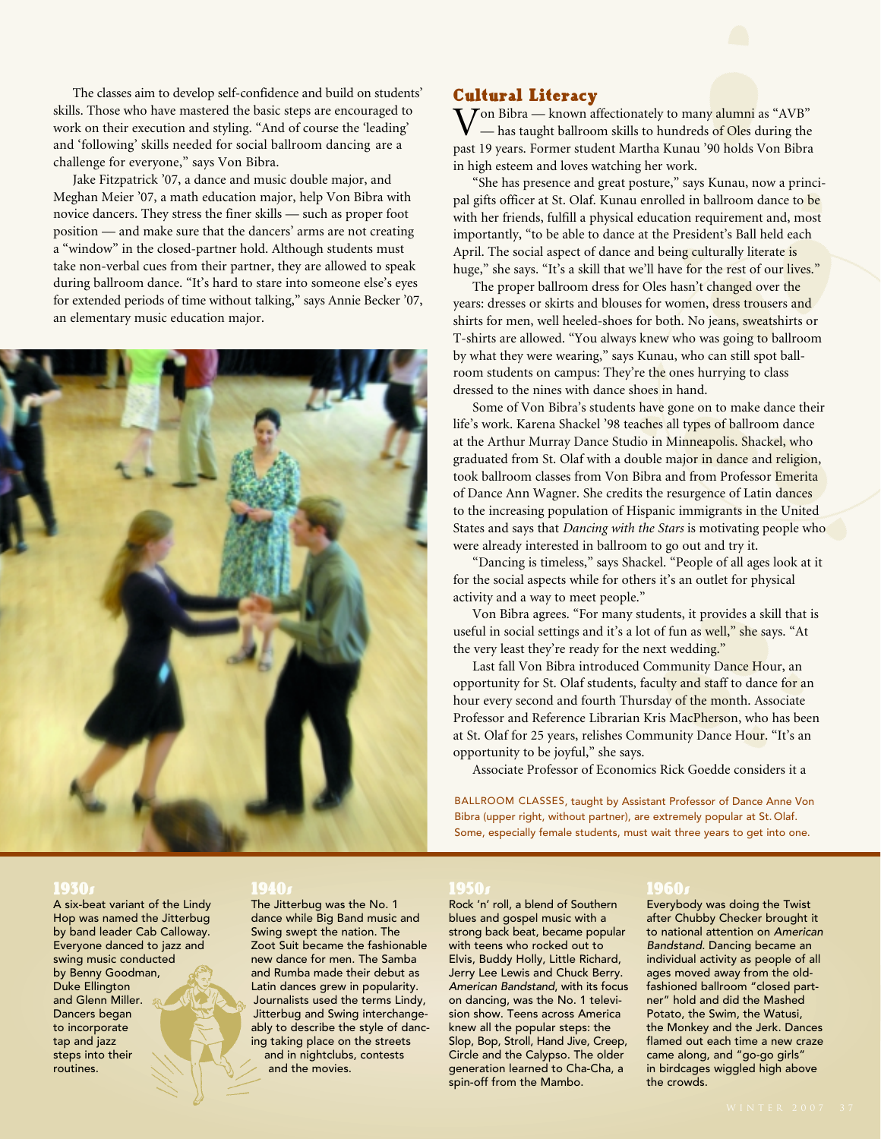The classes aim to develop self-confidence and build on students' skills. Those who have mastered the basic steps are encouraged to work on their execution and styling. "And of course the 'leading' and 'following' skills needed for social ballroom dancing are a challenge for everyone," says Von Bibra.

Jake Fitzpatrick '07, a dance and music double major, and Meghan Meier '07, a math education major, help Von Bibra with novice dancers. They stress the finer skills — such as proper foot position — and make sure that the dancers' arms are not creating a "window" in the closed-partner hold. Although students must take non-verbal cues from their partner, they are allowed to speak during ballroom dance. "It's hard to stare into someone else's eyes for extended periods of time without talking," says Annie Becker '07, an elementary music education major.



### Cultural Literacy

Von Bibra — known affectionately to many alumni as "AVB" – has taught ballroom skills to hundreds of Oles during the past 19 years. Former student Martha Kunau '90 holds Von Bibra in high esteem and loves watching her work.

"She has presence and great posture," says Kunau, now a principal gifts officer at St. Olaf. Kunau enrolled in ballroom dance to be with her friends, fulfill a physical education requirement and, most importantly, "to be able to dance at the President's Ball held each April. The social aspect of dance and being culturally literate is huge," she says. "It's a skill that we'll have for the rest of our lives."

The proper ballroom dress for Oles hasn't changed over the years: dresses or skirts and blouses for women, dress trousers and shirts for men, well heeled-shoes for both. No jeans, sweatshirts or T-shirts are allowed. "You always knew who was going to ballroom by what they were wearing," says Kunau, who can still spot ballroom students on campus: They're the ones hurrying to class dressed to the nines with dance shoes in hand.

Some of Von Bibra's students have gone on to make dance their life's work. Karena Shackel '98 teaches all types of ballroom dance at the Arthur Murray Dance Studio in Minneapolis. Shackel, who graduated from St. Olaf with a double major in dance and religion, took ballroom classes from Von Bibra and from Professor Emerita of Dance Ann Wagner. She credits the resurgence of Latin dances to the increasing population of Hispanic immigrants in the United States and says that *Dancing with the Stars* is motivating people who were already interested in ballroom to go out and try it.

"Dancing is timeless," says Shackel. "People of all ages look at it for the social aspects while for others it's an outlet for physical activity and a way to meet people."

Von Bibra agrees. "For many students, it provides a skill that is useful in social settings and it's a lot of fun as well," she says. "At the very least they're ready for the next wedding."

Last fall Von Bibra introduced Community Dance Hour, an opportunity for St. Olaf students, faculty and staff to dance for an hour every second and fourth Thursday of the month. Associate Professor and Reference Librarian Kris MacPherson, who has been at St. Olaf for 25 years, relishes Community Dance Hour. "It's an opportunity to be joyful," she says.

Associate Professor of Economics Rick Goedde considers it a

BALLROOM CLASSES, taught by Assistant Professor of Dance Anne Von Bibra (upper right, without partner), are extremely popular at St. Olaf. Some, especially female students, must wait three years to get into one.

1930s A six-beat variant of the Lindy Hop was named the Jitterbug by band leader Cab Calloway. Everyone danced to jazz and swing music conducted by Benny Goodman, Duke Ellington and Glenn Miller. Dancers began to incorporate tap and jazz steps into their routines.

1940s The Jitterbug was the No. 1 dance while Big Band music and Swing swept the nation. The Zoot Suit became the fashionable new dance for men. The Samba and Rumba made their debut as Latin dances grew in popularity. Journalists used the terms Lindy, Jitterbug and Swing interchangeably to describe the style of dancing taking place on the streets and in nightclubs, contests and the movies.

1950s Rock 'n' roll, a blend of Southern blues and gospel music with a strong back beat, became popular with teens who rocked out to Elvis, Buddy Holly, Little Richard, Jerry Lee Lewis and Chuck Berry. *American Bandstand*, with its focus on dancing, was the No. 1 television show. Teens across America knew all the popular steps: the Slop, Bop, Stroll, Hand Jive, Creep, Circle and the Calypso. The older generation learned to Cha-Cha, a spin-off from the Mambo.

1960g<br>Everybody was doing the Twist after Chubby Checker brought it to national attention on *American Bandstand*. Dancing became an individual activity as people of all ages moved away from the oldfashioned ballroom "closed partner" hold and did the Mashed Potato, the Swim, the Watusi, the Monkey and the Jerk. Dances flamed out each time a new craze came along, and "go-go girls" in birdcages wiggled high above the crowds.